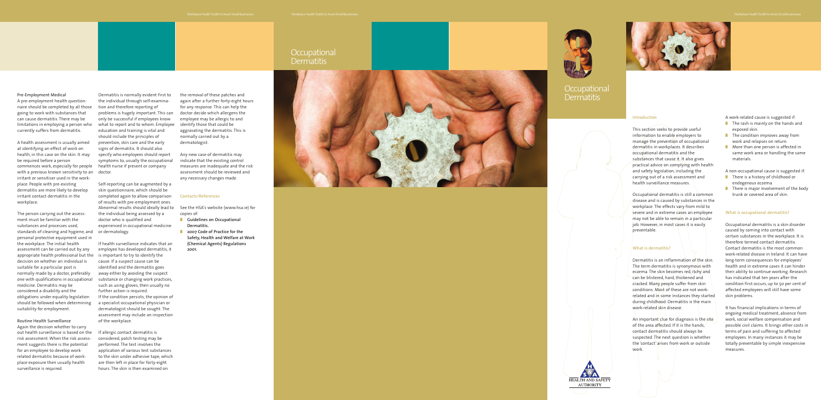Dermatitis is normally evident first to the individual through self-examination and therefore reporting of problems is hugely important. This can only be successful if employees know what to report and to whom. Employee identify those that could be education and training is vital and should include the principles of prevention, skin care and the early signs o f dermatitis. It should also specify who employees should report symptoms to, usually the occupational health nurse if present or company

Self-reporting can be augmented by a skin questionnaire, which should be completed again to allow comparison of results with pre-employment ones. the individual being assessed b y a doctor who is qualified and experienced in occupational medicine

If health surveillance indicates that an employee has developed dermatitis, it is important to try to identify the cause. If a suspect cause can be identified and the dermatitis goes away either by avoiding the suspec t substance or changing work practices, such as using glo ves , then usually no further action is required. If the condition persists, the opinion of a specialist occupational physician or derma tologist should be sough t . The assessment may include an inspection of the workplace.

with a previous known sensitivity to an  $\;$  doctor. A health assessment is usually aimed at identifying an effect of work on health, in this case on the skin. It may be required before a person commences work, especially for people irritant or sensitiser used in the workplace. People with pre-existing dermatitis are more likely to develop irritant contact dermatitis in the workplace.

standards of cleaning and hygiene, and or dermatology. The person carrying out the assess ment must be familiar with the substances and processes used, personal protective equipment used in the workplace. The initial health assessment can be carried out by any appropriate health professional but the decision on whether an individual is suitable for a particular post is normally made b y a doc tor, preferably one with qualifications in occupational medicine . Dermatitis ma y be considered a disability and the obligations under equality legislation should be follo wed when determining suitability for employmen t .

> If allergic contact dermatitis is considered, patch testing may be per formed. The test in volves the application of various test substances to the skin under adhesive tape, which ar e then left in plac e for forty-eight hours. The skin is then examined on

Again the decision whether to carry out health surveillance is based on the risk assessmen t .When the risk assessment suggests there is the potential for an employee to develop work related dermatitis because of workplace exposure then usually health surveillance is required.

the removal of these patches and again after a further forty-eight hours for any response. This can help the doctor decide which allergens the employee may be allergic to and aggravating the dermatitis. This is normally carried out by a dermatologist. Workplace Health Toolkit to Assist Small Businesses<br>
in a after a further forty-eight hours<br>
any response. This can help the<br>
tor decide which allergens the<br>
ployee may be allergic to and<br>
trify those that could be<br>
gravat

#### Pre-Employment Medical

A pre-employment health questionnaire should be completed by all those going to work with substances that can cause dermatitis. There may be limitations in employing a person who currently suffers from dermatitis.

- **Guidelines on Occupational Dermatitis.**
- **2007 Code of Practice for the Safety, Health and Welfare at Work (Chemical Agents) Regulations**

# Occupational Workplace Health Toolkit to Assist Small Businesses<br>OCCUpational<br>Dermatitis





# **Occupational Dermatitis**



Abnormal results should ideally lead to See the HSA's website (www.hsa.ie) for copies of:

- There is a history of childhood or endogenous eczema.
- There is major involvement of the body trunk or covered area of skin.

#### Routine Health Sur veillance

Any new case of dermatitis may indicate that the existing control measures ar e inadequate and the risk assessment should be reviewed and any necessary changes made.

#### **Contacts/References**

# **Introduction**

This section seeks to provide useful information to enable employers to manage the prevention of occupational dermatitis in workplaces. It describes occupational dermatitis and the substances that cause it. It also gives practical advice on complying with health and safety legislation, including the carrying out of a risk assessment and health surveillance measures.

Occupational dermatitis is still a common disease and is caused by substances in the workplace. The effects vary from mild to severe and in extreme cases an employee may not be able to remain in a particular job. However, in most cases it is easily preventable.

# **What is dermatitis?**

Dermatitis is an inflammation of the skin. The term dermatitis is synonymous with eczema. The skin becomes red, itchy and can be blistered, hard, thickened and cracked. Many people suffer from skin conditions. Most of these are not workrelated and in some instances they started during childhood. Dermatitis is the main work-related skin disease.

An important clue for diagnosis is the site of the area affected. If it is the hands, contact dermatitis should always be suspected. The next question is whether the ' contact' arises from work or outside work.



- **■** The rash is mainly on the hands and exposed skin.
- The condition improves away from work and relapses on return.
- More than one person is affected in same work area or handling the same materials.

A non-occupational cause is suggested if:

# **What is occupational dermatitis?**

Occupational dermatitis is a skin disorder caused by coming into contact with certain substances in the workplace. It is therefore termed contact dermatitis. Contact dermatitis is the most common work-related disease in Ireland. It can have long-term consequences for employees' health and in extreme cases it can hinder their ability to continue working. Research has indicated that ten years after the condition first occurs, up to 50 per cent of affected employees will still have some skin problems.

It has financial implications in terms of ongoing medical treatment, absence from work, social welfare compensation and possible civil claims. It brings other costs in terms of pain and suffering to affected employees. In many instances it may be totally preventable by simple inexpensive measures.